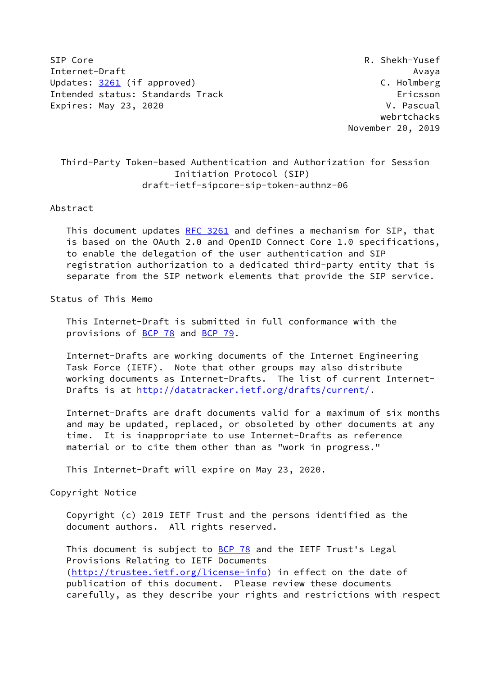SIP Core R. Shekh-Yusef Internet-Draft Avaya Updates: [3261](https://datatracker.ietf.org/doc/pdf/rfc3261) (if approved) C. Holmberg Intended status: Standards Track Ericsson Expires: May 23, 2020 **V. Pascual** 

 webrtchacks November 20, 2019

# Third-Party Token-based Authentication and Authorization for Session Initiation Protocol (SIP) draft-ietf-sipcore-sip-token-authnz-06

### Abstract

 This document updates [RFC 3261](https://datatracker.ietf.org/doc/pdf/rfc3261) and defines a mechanism for SIP, that is based on the OAuth 2.0 and OpenID Connect Core 1.0 specifications, to enable the delegation of the user authentication and SIP registration authorization to a dedicated third-party entity that is separate from the SIP network elements that provide the SIP service.

### Status of This Memo

 This Internet-Draft is submitted in full conformance with the provisions of [BCP 78](https://datatracker.ietf.org/doc/pdf/bcp78) and [BCP 79](https://datatracker.ietf.org/doc/pdf/bcp79).

 Internet-Drafts are working documents of the Internet Engineering Task Force (IETF). Note that other groups may also distribute working documents as Internet-Drafts. The list of current Internet- Drafts is at<http://datatracker.ietf.org/drafts/current/>.

 Internet-Drafts are draft documents valid for a maximum of six months and may be updated, replaced, or obsoleted by other documents at any time. It is inappropriate to use Internet-Drafts as reference material or to cite them other than as "work in progress."

This Internet-Draft will expire on May 23, 2020.

Copyright Notice

 Copyright (c) 2019 IETF Trust and the persons identified as the document authors. All rights reserved.

This document is subject to **[BCP 78](https://datatracker.ietf.org/doc/pdf/bcp78)** and the IETF Trust's Legal Provisions Relating to IETF Documents [\(http://trustee.ietf.org/license-info](http://trustee.ietf.org/license-info)) in effect on the date of publication of this document. Please review these documents carefully, as they describe your rights and restrictions with respect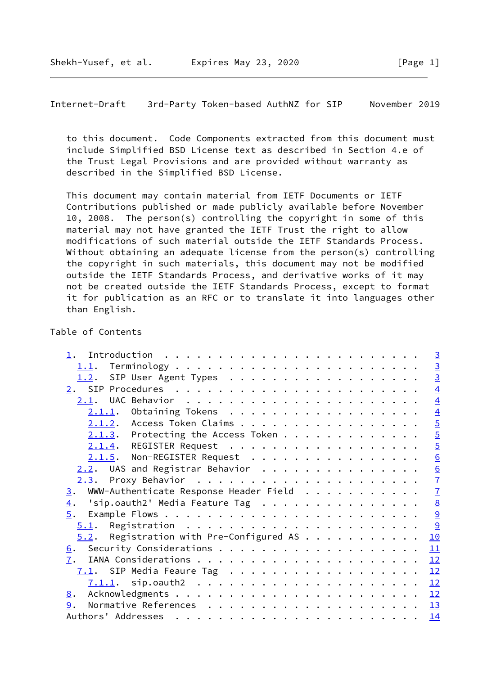Internet-Draft 3rd-Party Token-based AuthNZ for SIP November 2019

 to this document. Code Components extracted from this document must include Simplified BSD License text as described in Section 4.e of the Trust Legal Provisions and are provided without warranty as described in the Simplified BSD License.

 This document may contain material from IETF Documents or IETF Contributions published or made publicly available before November 10, 2008. The person(s) controlling the copyright in some of this material may not have granted the IETF Trust the right to allow modifications of such material outside the IETF Standards Process. Without obtaining an adequate license from the person(s) controlling the copyright in such materials, this document may not be modified outside the IETF Standards Process, and derivative works of it may not be created outside the IETF Standards Process, except to format it for publication as an RFC or to translate it into languages other than English.

### Table of Contents

|                                                                           | $\overline{3}$  |
|---------------------------------------------------------------------------|-----------------|
|                                                                           | $\overline{3}$  |
| 1.2. SIP User Agent Types                                                 | $\overline{3}$  |
|                                                                           | $\overline{4}$  |
|                                                                           | $\overline{4}$  |
| $2.1.1.$ Obtaining Tokens                                                 | $\overline{4}$  |
| 2.1.2. Access Token Claims                                                | $\overline{5}$  |
| $2.1.3$ . Protecting the Access Token                                     | $\overline{5}$  |
| 2.1.4. REGISTER Request                                                   | $\overline{5}$  |
| 2.1.5. Non-REGISTER Request                                               | 6               |
| $2.2$ . UAS and Registrar Behavior                                        | $\underline{6}$ |
|                                                                           | $\overline{1}$  |
| WWW-Authenticate Response Header Field<br>3.                              | $\overline{1}$  |
| 'sip.oauth2' Media Feature Tag $\ldots \ldots \ldots \ldots \ldots$<br>4. | $\underline{8}$ |
|                                                                           | 9               |
|                                                                           | $\frac{9}{2}$   |
| $5.2$ . Registration with Pre-Configured AS                               | 10              |
|                                                                           | 11              |
| 7.                                                                        | 12              |
|                                                                           | 12              |
|                                                                           | 12              |
| 8.                                                                        |                 |
| 9.                                                                        |                 |
|                                                                           | 14              |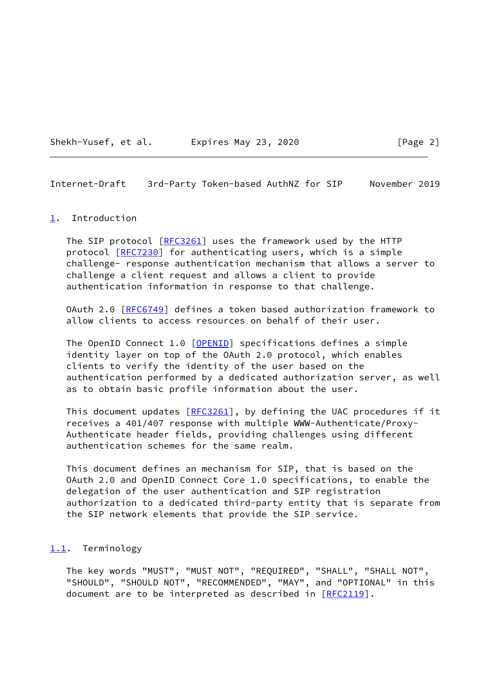

<span id="page-2-1"></span>Internet-Draft 3rd-Party Token-based AuthNZ for SIP November 2019

#### <span id="page-2-0"></span>[1](#page-2-0). Introduction

The SIP protocol [\[RFC3261](https://datatracker.ietf.org/doc/pdf/rfc3261)] uses the framework used by the HTTP protocol [\[RFC7230](https://datatracker.ietf.org/doc/pdf/rfc7230)] for authenticating users, which is a simple challenge- response authentication mechanism that allows a server to challenge a client request and allows a client to provide authentication information in response to that challenge.

 OAuth 2.0 [[RFC6749](https://datatracker.ietf.org/doc/pdf/rfc6749)] defines a token based authorization framework to allow clients to access resources on behalf of their user.

The OpenID Connect 1.0 [\[OPENID](#page-13-3)] specifications defines a simple identity layer on top of the OAuth 2.0 protocol, which enables clients to verify the identity of the user based on the authentication performed by a dedicated authorization server, as well as to obtain basic profile information about the user.

This document updates [[RFC3261](https://datatracker.ietf.org/doc/pdf/rfc3261)], by defining the UAC procedures if it receives a 401/407 response with multiple WWW-Authenticate/Proxy- Authenticate header fields, providing challenges using different authentication schemes for the same realm.

 This document defines an mechanism for SIP, that is based on the OAuth 2.0 and OpenID Connect Core 1.0 specifications, to enable the delegation of the user authentication and SIP registration authorization to a dedicated third-party entity that is separate from the SIP network elements that provide the SIP service.

#### <span id="page-2-2"></span>[1.1](#page-2-2). Terminology

 The key words "MUST", "MUST NOT", "REQUIRED", "SHALL", "SHALL NOT", "SHOULD", "SHOULD NOT", "RECOMMENDED", "MAY", and "OPTIONAL" in this document are to be interpreted as described in [\[RFC2119](https://datatracker.ietf.org/doc/pdf/rfc2119)].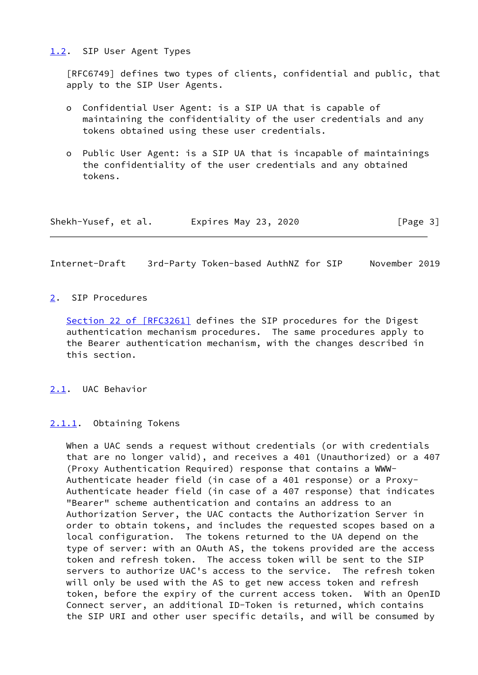### <span id="page-3-0"></span>[1.2](#page-3-0). SIP User Agent Types

 [RFC6749] defines two types of clients, confidential and public, that apply to the SIP User Agents.

- o Confidential User Agent: is a SIP UA that is capable of maintaining the confidentiality of the user credentials and any tokens obtained using these user credentials.
- o Public User Agent: is a SIP UA that is incapable of maintainings the confidentiality of the user credentials and any obtained tokens.

| Shekh-Yusef, et al. | Expires May 23, 2020 | [Page 3] |
|---------------------|----------------------|----------|
|---------------------|----------------------|----------|

<span id="page-3-2"></span>Internet-Draft 3rd-Party Token-based AuthNZ for SIP November 2019

### <span id="page-3-1"></span>[2](#page-3-1). SIP Procedures

Section [22 of \[RFC3261\]](https://datatracker.ietf.org/doc/pdf/rfc3261#section-22) defines the SIP procedures for the Digest authentication mechanism procedures. The same procedures apply to the Bearer authentication mechanism, with the changes described in this section.

<span id="page-3-3"></span>[2.1](#page-3-3). UAC Behavior

### <span id="page-3-4"></span>[2.1.1](#page-3-4). Obtaining Tokens

 When a UAC sends a request without credentials (or with credentials that are no longer valid), and receives a 401 (Unauthorized) or a 407 (Proxy Authentication Required) response that contains a WWW- Authenticate header field (in case of a 401 response) or a Proxy- Authenticate header field (in case of a 407 response) that indicates "Bearer" scheme authentication and contains an address to an Authorization Server, the UAC contacts the Authorization Server in order to obtain tokens, and includes the requested scopes based on a local configuration. The tokens returned to the UA depend on the type of server: with an OAuth AS, the tokens provided are the access token and refresh token. The access token will be sent to the SIP servers to authorize UAC's access to the service. The refresh token will only be used with the AS to get new access token and refresh token, before the expiry of the current access token. With an OpenID Connect server, an additional ID-Token is returned, which contains the SIP URI and other user specific details, and will be consumed by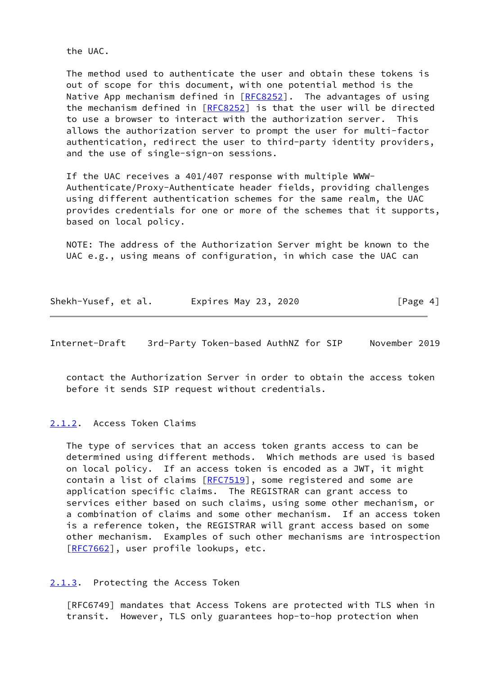the UAC.

 The method used to authenticate the user and obtain these tokens is out of scope for this document, with one potential method is the Native App mechanism defined in [\[RFC8252](https://datatracker.ietf.org/doc/pdf/rfc8252)]. The advantages of using the mechanism defined in [\[RFC8252](https://datatracker.ietf.org/doc/pdf/rfc8252)] is that the user will be directed to use a browser to interact with the authorization server. This allows the authorization server to prompt the user for multi-factor authentication, redirect the user to third-party identity providers, and the use of single-sign-on sessions.

 If the UAC receives a 401/407 response with multiple WWW- Authenticate/Proxy-Authenticate header fields, providing challenges using different authentication schemes for the same realm, the UAC provides credentials for one or more of the schemes that it supports, based on local policy.

 NOTE: The address of the Authorization Server might be known to the UAC e.g., using means of configuration, in which case the UAC can

| Shekh-Yusef, et al. | Expires May 23, 2020 | [Page 4] |
|---------------------|----------------------|----------|
|---------------------|----------------------|----------|

<span id="page-4-1"></span>Internet-Draft 3rd-Party Token-based AuthNZ for SIP November 2019

 contact the Authorization Server in order to obtain the access token before it sends SIP request without credentials.

<span id="page-4-0"></span>[2.1.2](#page-4-0). Access Token Claims

 The type of services that an access token grants access to can be determined using different methods. Which methods are used is based on local policy. If an access token is encoded as a JWT, it might contain a list of claims [\[RFC7519](https://datatracker.ietf.org/doc/pdf/rfc7519)], some registered and some are application specific claims. The REGISTRAR can grant access to services either based on such claims, using some other mechanism, or a combination of claims and some other mechanism. If an access token is a reference token, the REGISTRAR will grant access based on some other mechanism. Examples of such other mechanisms are introspection [\[RFC7662](https://datatracker.ietf.org/doc/pdf/rfc7662)], user profile lookups, etc.

<span id="page-4-2"></span>[2.1.3](#page-4-2). Protecting the Access Token

 [RFC6749] mandates that Access Tokens are protected with TLS when in transit. However, TLS only guarantees hop-to-hop protection when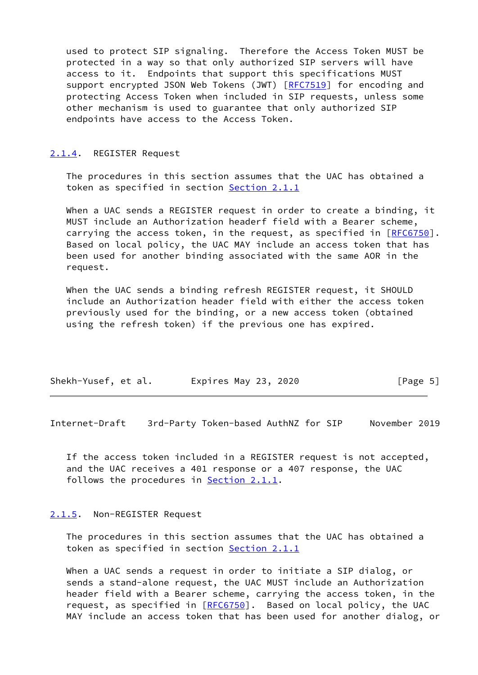used to protect SIP signaling. Therefore the Access Token MUST be protected in a way so that only authorized SIP servers will have access to it. Endpoints that support this specifications MUST support encrypted JSON Web Tokens (JWT) [\[RFC7519](https://datatracker.ietf.org/doc/pdf/rfc7519)] for encoding and protecting Access Token when included in SIP requests, unless some other mechanism is used to guarantee that only authorized SIP endpoints have access to the Access Token.

#### <span id="page-5-0"></span>[2.1.4](#page-5-0). REGISTER Request

 The procedures in this section assumes that the UAC has obtained a token as specified in section [Section 2.1.1](#page-3-4)

 When a UAC sends a REGISTER request in order to create a binding, it MUST include an Authorization headerf field with a Bearer scheme, carrying the access token, in the request, as specified in [[RFC6750\]](https://datatracker.ietf.org/doc/pdf/rfc6750). Based on local policy, the UAC MAY include an access token that has been used for another binding associated with the same AOR in the request.

 When the UAC sends a binding refresh REGISTER request, it SHOULD include an Authorization header field with either the access token previously used for the binding, or a new access token (obtained using the refresh token) if the previous one has expired.

| Shekh-Yusef, et al. | Expires May 23, 2020 | [Page 5] |
|---------------------|----------------------|----------|
|---------------------|----------------------|----------|

<span id="page-5-2"></span>Internet-Draft 3rd-Party Token-based AuthNZ for SIP November 2019

 If the access token included in a REGISTER request is not accepted, and the UAC receives a 401 response or a 407 response, the UAC follows the procedures in [Section 2.1.1.](#page-3-4)

#### <span id="page-5-1"></span>[2.1.5](#page-5-1). Non-REGISTER Request

 The procedures in this section assumes that the UAC has obtained a token as specified in section [Section 2.1.1](#page-3-4)

 When a UAC sends a request in order to initiate a SIP dialog, or sends a stand-alone request, the UAC MUST include an Authorization header field with a Bearer scheme, carrying the access token, in the request, as specified in [\[RFC6750](https://datatracker.ietf.org/doc/pdf/rfc6750)]. Based on local policy, the UAC MAY include an access token that has been used for another dialog, or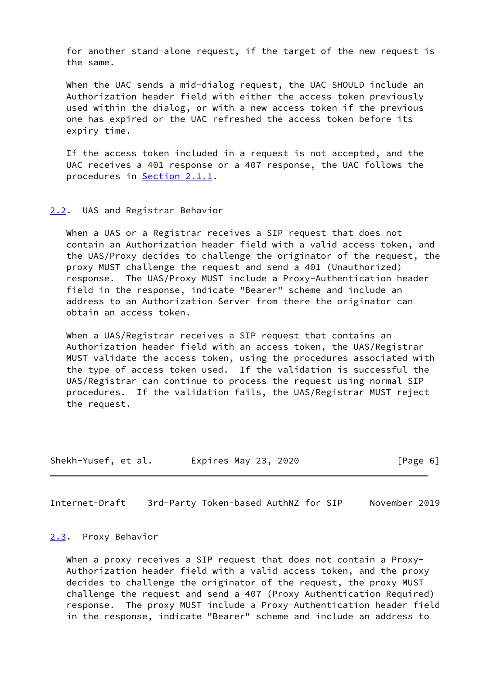for another stand-alone request, if the target of the new request is the same.

 When the UAC sends a mid-dialog request, the UAC SHOULD include an Authorization header field with either the access token previously used within the dialog, or with a new access token if the previous one has expired or the UAC refreshed the access token before its expiry time.

 If the access token included in a request is not accepted, and the UAC receives a 401 response or a 407 response, the UAC follows the procedures in [Section 2.1.1.](#page-3-4)

#### <span id="page-6-0"></span>[2.2](#page-6-0). UAS and Registrar Behavior

 When a UAS or a Registrar receives a SIP request that does not contain an Authorization header field with a valid access token, and the UAS/Proxy decides to challenge the originator of the request, the proxy MUST challenge the request and send a 401 (Unauthorized) response. The UAS/Proxy MUST include a Proxy-Authentication header field in the response, indicate "Bearer" scheme and include an address to an Authorization Server from there the originator can obtain an access token.

 When a UAS/Registrar receives a SIP request that contains an Authorization header field with an access token, the UAS/Registrar MUST validate the access token, using the procedures associated with the type of access token used. If the validation is successful the UAS/Registrar can continue to process the request using normal SIP procedures. If the validation fails, the UAS/Registrar MUST reject the request.

| Shekh-Yusef, et al. | Expires May 23, 2020 | [Page 6] |
|---------------------|----------------------|----------|
|---------------------|----------------------|----------|

<span id="page-6-2"></span>Internet-Draft 3rd-Party Token-based AuthNZ for SIP November 2019

#### <span id="page-6-1"></span>[2.3](#page-6-1). Proxy Behavior

When a proxy receives a SIP request that does not contain a Proxy- Authorization header field with a valid access token, and the proxy decides to challenge the originator of the request, the proxy MUST challenge the request and send a 407 (Proxy Authentication Required) response. The proxy MUST include a Proxy-Authentication header field in the response, indicate "Bearer" scheme and include an address to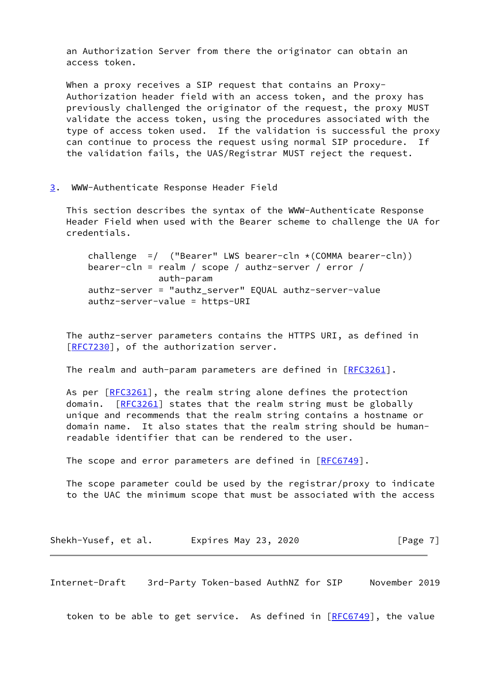an Authorization Server from there the originator can obtain an access token.

When a proxy receives a SIP request that contains an Proxy- Authorization header field with an access token, and the proxy has previously challenged the originator of the request, the proxy MUST validate the access token, using the procedures associated with the type of access token used. If the validation is successful the proxy can continue to process the request using normal SIP procedure. If the validation fails, the UAS/Registrar MUST reject the request.

<span id="page-7-0"></span>[3](#page-7-0). WWW-Authenticate Response Header Field

 This section describes the syntax of the WWW-Authenticate Response Header Field when used with the Bearer scheme to challenge the UA for credentials.

challenge =/ ("Bearer" LWS bearer-cln  $*(COMMA\ bearer-cln))$  bearer-cln = realm / scope / authz-server / error / auth-param authz-server = "authz\_server" EQUAL authz-server-value authz-server-value = https-URI

 The authz-server parameters contains the HTTPS URI, as defined in [\[RFC7230](https://datatracker.ietf.org/doc/pdf/rfc7230)], of the authorization server.

The realm and auth-param parameters are defined in  $[REC3261]$ .

As per [\[RFC3261](https://datatracker.ietf.org/doc/pdf/rfc3261)], the realm string alone defines the protection domain. [\[RFC3261](https://datatracker.ietf.org/doc/pdf/rfc3261)] states that the realm string must be globally unique and recommends that the realm string contains a hostname or domain name. It also states that the realm string should be human readable identifier that can be rendered to the user.

The scope and error parameters are defined in [[RFC6749](https://datatracker.ietf.org/doc/pdf/rfc6749)].

 The scope parameter could be used by the registrar/proxy to indicate to the UAC the minimum scope that must be associated with the access

| Shekh-Yusef, et al. | Expires May 23, 2020 | [Page 7] |
|---------------------|----------------------|----------|
|---------------------|----------------------|----------|

<span id="page-7-1"></span>Internet-Draft 3rd-Party Token-based AuthNZ for SIP November 2019

token to be able to get service. As defined in [\[RFC6749](https://datatracker.ietf.org/doc/pdf/rfc6749)], the value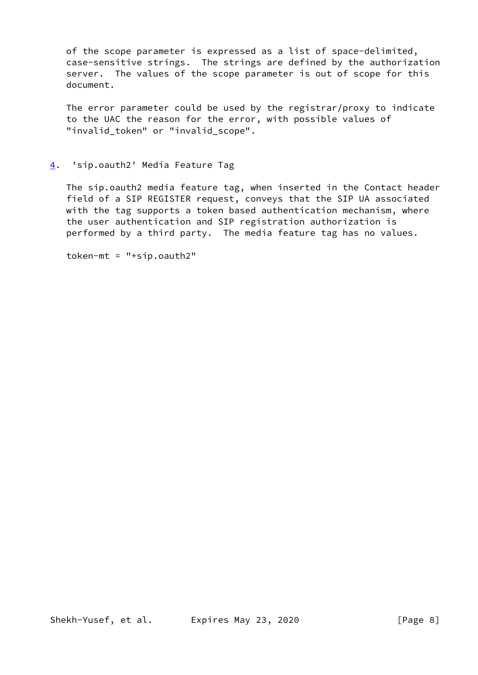of the scope parameter is expressed as a list of space-delimited, case-sensitive strings. The strings are defined by the authorization server. The values of the scope parameter is out of scope for this document.

 The error parameter could be used by the registrar/proxy to indicate to the UAC the reason for the error, with possible values of "invalid\_token" or "invalid\_scope".

### <span id="page-8-0"></span>[4](#page-8-0). 'sip.oauth2' Media Feature Tag

 The sip.oauth2 media feature tag, when inserted in the Contact header field of a SIP REGISTER request, conveys that the SIP UA associated with the tag supports a token based authentication mechanism, where the user authentication and SIP registration authorization is performed by a third party. The media feature tag has no values.

token-mt = "+sip.oauth2"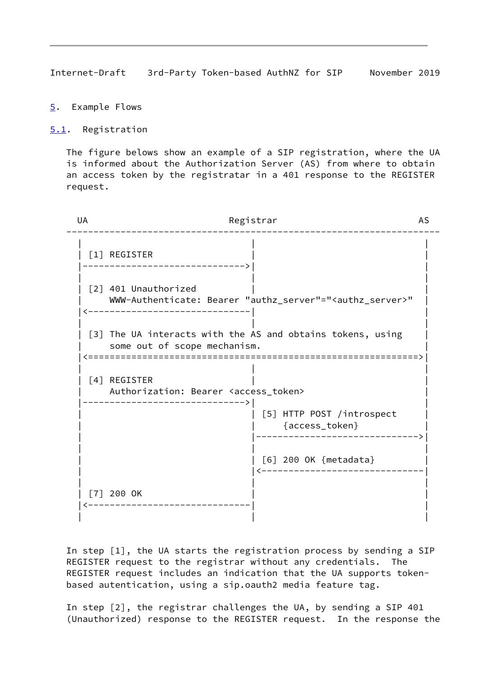<span id="page-9-1"></span>Internet-Draft 3rd-Party Token-based AuthNZ for SIP November 2019

- <span id="page-9-0"></span>[5](#page-9-0). Example Flows
- <span id="page-9-2"></span>[5.1](#page-9-2). Registration

 The figure belows show an example of a SIP registration, where the UA is informed about the Authorization Server (AS) from where to obtain an access token by the registratar in a 401 response to the REGISTER request.

| UA | Registrar                                                                                  |                                                                          | <b>AS</b> |
|----|--------------------------------------------------------------------------------------------|--------------------------------------------------------------------------|-----------|
|    | [1] REGISTER                                                                               |                                                                          |           |
|    | [2] 401 Unauthorized                                                                       | WWW-Authenticate: Bearer "authz_server"=" <authz_server>"</authz_server> |           |
|    | [3] The UA interacts with the AS and obtains tokens, using<br>some out of scope mechanism. |                                                                          |           |
|    | [4] REGISTER<br>Authorization: Bearer <access_token></access_token>                        |                                                                          |           |
|    |                                                                                            | [5] HTTP POST /introspect<br>{access_token}                              |           |
|    |                                                                                            | [6] 200 OK {metadata}                                                    |           |
|    | $[7]$ 200 OK                                                                               |                                                                          |           |

 In step [1], the UA starts the registration process by sending a SIP REGISTER request to the registrar without any credentials. The REGISTER request includes an indication that the UA supports token based autentication, using a sip.oauth2 media feature tag.

 In step [2], the registrar challenges the UA, by sending a SIP 401 (Unauthorized) response to the REGISTER request. In the response the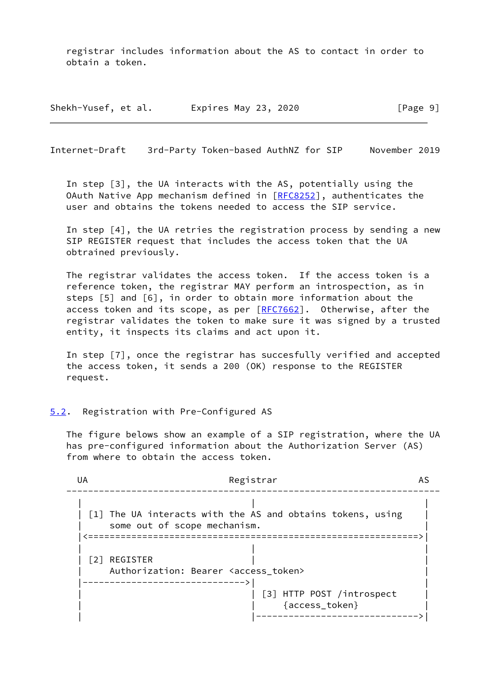registrar includes information about the AS to contact in order to obtain a token.

Shekh-Yusef, et al. Expires May 23, 2020 [Page 9]

<span id="page-10-1"></span>Internet-Draft 3rd-Party Token-based AuthNZ for SIP November 2019

 In step [3], the UA interacts with the AS, potentially using the OAuth Native App mechanism defined in [[RFC8252](https://datatracker.ietf.org/doc/pdf/rfc8252)], authenticates the user and obtains the tokens needed to access the SIP service.

 In step [4], the UA retries the registration process by sending a new SIP REGISTER request that includes the access token that the UA obtrained previously.

 The registrar validates the access token. If the access token is a reference token, the registrar MAY perform an introspection, as in steps [5] and [6], in order to obtain more information about the access token and its scope, as per  $[REC7662]$ . Otherwise, after the registrar validates the token to make sure it was signed by a trusted entity, it inspects its claims and act upon it.

 In step [7], once the registrar has succesfully verified and accepted the access token, it sends a 200 (OK) response to the REGISTER request.

### <span id="page-10-0"></span>[5.2](#page-10-0). Registration with Pre-Configured AS

 The figure belows show an example of a SIP registration, where the UA has pre-configured information about the Authorization Server (AS) from where to obtain the access token.

| UA | Registrar<br>AS                                            |
|----|------------------------------------------------------------|
|    | [1] The UA interacts with the AS and obtains tokens, using |
|    | some out of scope mechanism.                               |
|    |                                                            |
|    | [2] REGISTER                                               |
|    | Authorization: Bearer <access_token></access_token>        |
|    |                                                            |
|    | [3] HTTP POST /introspect                                  |
|    | {access_token}                                             |
|    |                                                            |
|    |                                                            |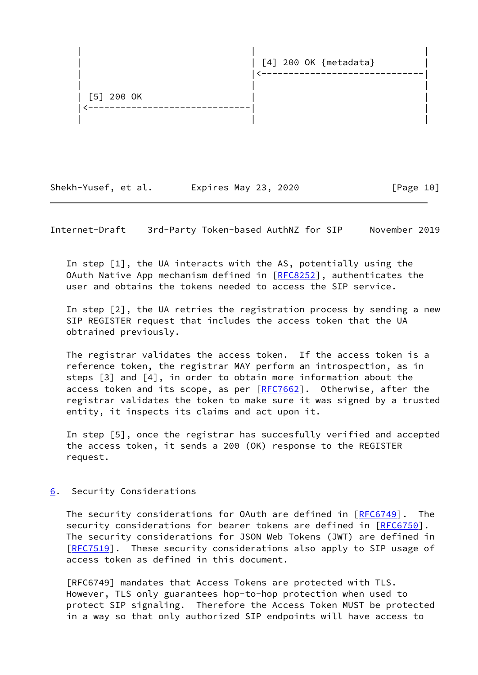

Shekh-Yusef, et al. Expires May 23, 2020 [Page 10]

<span id="page-11-1"></span>Internet-Draft 3rd-Party Token-based AuthNZ for SIP November 2019

 In step [1], the UA interacts with the AS, potentially using the OAuth Native App mechanism defined in [[RFC8252](https://datatracker.ietf.org/doc/pdf/rfc8252)], authenticates the user and obtains the tokens needed to access the SIP service.

 In step [2], the UA retries the registration process by sending a new SIP REGISTER request that includes the access token that the UA obtrained previously.

 The registrar validates the access token. If the access token is a reference token, the registrar MAY perform an introspection, as in steps [3] and [4], in order to obtain more information about the access token and its scope, as per [[RFC7662\]](https://datatracker.ietf.org/doc/pdf/rfc7662). Otherwise, after the registrar validates the token to make sure it was signed by a trusted entity, it inspects its claims and act upon it.

 In step [5], once the registrar has succesfully verified and accepted the access token, it sends a 200 (OK) response to the REGISTER request.

### <span id="page-11-0"></span>[6](#page-11-0). Security Considerations

The security considerations for OAuth are defined in [\[RFC6749](https://datatracker.ietf.org/doc/pdf/rfc6749)]. The security considerations for bearer tokens are defined in [\[RFC6750](https://datatracker.ietf.org/doc/pdf/rfc6750)]. The security considerations for JSON Web Tokens (JWT) are defined in [\[RFC7519](https://datatracker.ietf.org/doc/pdf/rfc7519)]. These security considerations also apply to SIP usage of access token as defined in this document.

 [RFC6749] mandates that Access Tokens are protected with TLS. However, TLS only guarantees hop-to-hop protection when used to protect SIP signaling. Therefore the Access Token MUST be protected in a way so that only authorized SIP endpoints will have access to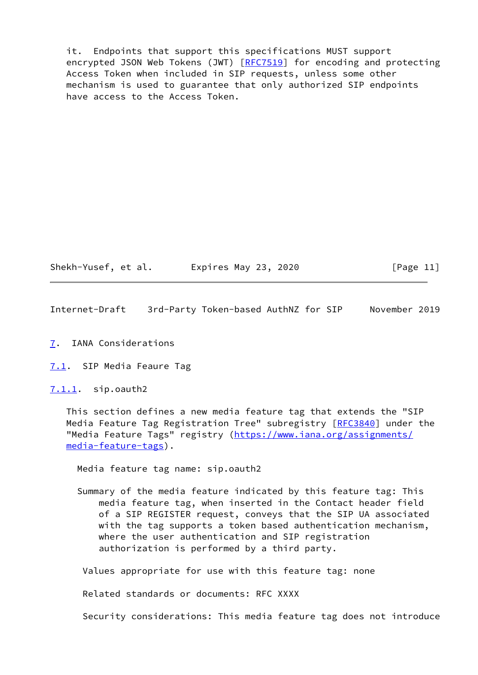it. Endpoints that support this specifications MUST support encrypted JSON Web Tokens (JWT) [\[RFC7519](https://datatracker.ietf.org/doc/pdf/rfc7519)] for encoding and protecting Access Token when included in SIP requests, unless some other mechanism is used to guarantee that only authorized SIP endpoints have access to the Access Token.

Shekh-Yusef, et al. Expires May 23, 2020 [Page 11]

<span id="page-12-1"></span>Internet-Draft 3rd-Party Token-based AuthNZ for SIP November 2019

<span id="page-12-0"></span>[7](#page-12-0). IANA Considerations

<span id="page-12-2"></span>[7.1](#page-12-2). SIP Media Feaure Tag

<span id="page-12-3"></span>[7.1.1](#page-12-3). sip.oauth2

 This section defines a new media feature tag that extends the "SIP Media Feature Tag Registration Tree" subregistry [\[RFC3840](https://datatracker.ietf.org/doc/pdf/rfc3840)] under the "Media Feature Tags" registry ([https://www.iana.org/assignments/](https://www.iana.org/assignments/media-feature-tags) [media-feature-tags](https://www.iana.org/assignments/media-feature-tags)).

Media feature tag name: sip.oauth2

 Summary of the media feature indicated by this feature tag: This media feature tag, when inserted in the Contact header field of a SIP REGISTER request, conveys that the SIP UA associated with the tag supports a token based authentication mechanism, where the user authentication and SIP registration authorization is performed by a third party.

Values appropriate for use with this feature tag: none

Related standards or documents: RFC XXXX

Security considerations: This media feature tag does not introduce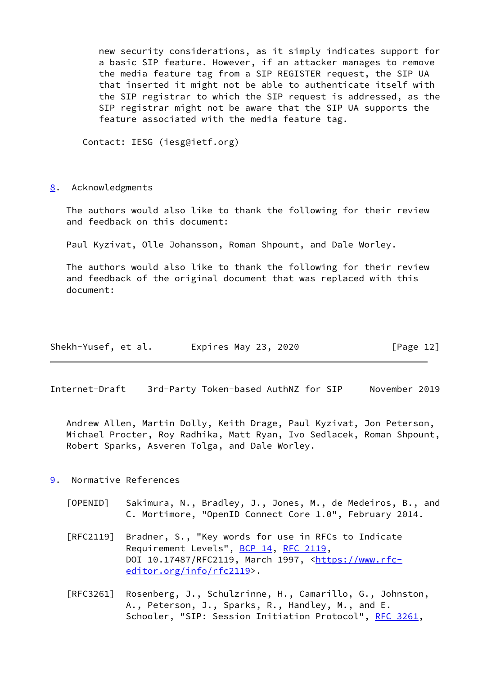new security considerations, as it simply indicates support for a basic SIP feature. However, if an attacker manages to remove the media feature tag from a SIP REGISTER request, the SIP UA that inserted it might not be able to authenticate itself with the SIP registrar to which the SIP request is addressed, as the SIP registrar might not be aware that the SIP UA supports the feature associated with the media feature tag.

Contact: IESG (iesg@ietf.org)

<span id="page-13-0"></span>[8](#page-13-0). Acknowledgments

 The authors would also like to thank the following for their review and feedback on this document:

Paul Kyzivat, Olle Johansson, Roman Shpount, and Dale Worley.

 The authors would also like to thank the following for their review and feedback of the original document that was replaced with this document:

| Shekh-Yusef, et al. | Expires May 23, 2020 | [Page 12] |
|---------------------|----------------------|-----------|
|---------------------|----------------------|-----------|

<span id="page-13-2"></span>Internet-Draft 3rd-Party Token-based AuthNZ for SIP November 2019

 Andrew Allen, Martin Dolly, Keith Drage, Paul Kyzivat, Jon Peterson, Michael Procter, Roy Radhika, Matt Ryan, Ivo Sedlacek, Roman Shpount, Robert Sparks, Asveren Tolga, and Dale Worley.

## <span id="page-13-1"></span>[9](#page-13-1). Normative References

- <span id="page-13-3"></span> [OPENID] Sakimura, N., Bradley, J., Jones, M., de Medeiros, B., and C. Mortimore, "OpenID Connect Core 1.0", February 2014.
- [RFC2119] Bradner, S., "Key words for use in RFCs to Indicate Requirement Levels", [BCP 14](https://datatracker.ietf.org/doc/pdf/bcp14), [RFC 2119](https://datatracker.ietf.org/doc/pdf/rfc2119), DOI 10.17487/RFC2119, March 1997, [<https://www.rfc](https://www.rfc-editor.org/info/rfc2119) [editor.org/info/rfc2119](https://www.rfc-editor.org/info/rfc2119)>.
- [RFC3261] Rosenberg, J., Schulzrinne, H., Camarillo, G., Johnston, A., Peterson, J., Sparks, R., Handley, M., and E. Schooler, "SIP: Session Initiation Protocol", [RFC 3261](https://datatracker.ietf.org/doc/pdf/rfc3261),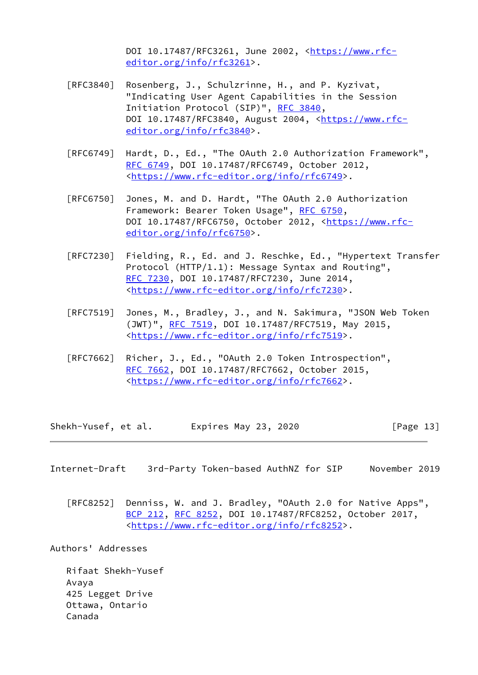DOI 10.17487/RFC3261, June 2002, [<https://www.rfc](https://www.rfc-editor.org/info/rfc3261) [editor.org/info/rfc3261](https://www.rfc-editor.org/info/rfc3261)>.

- [RFC3840] Rosenberg, J., Schulzrinne, H., and P. Kyzivat, "Indicating User Agent Capabilities in the Session Initiation Protocol (SIP)", [RFC 3840,](https://datatracker.ietf.org/doc/pdf/rfc3840) DOI 10.17487/RFC3840, August 2004, <[https://www.rfc](https://www.rfc-editor.org/info/rfc3840) [editor.org/info/rfc3840](https://www.rfc-editor.org/info/rfc3840)>.
- [RFC6749] Hardt, D., Ed., "The OAuth 2.0 Authorization Framework", [RFC 6749,](https://datatracker.ietf.org/doc/pdf/rfc6749) DOI 10.17487/RFC6749, October 2012, <[https://www.rfc-editor.org/info/rfc6749>](https://www.rfc-editor.org/info/rfc6749).
- [RFC6750] Jones, M. and D. Hardt, "The OAuth 2.0 Authorization Framework: Bearer Token Usage", [RFC 6750,](https://datatracker.ietf.org/doc/pdf/rfc6750) DOI 10.17487/RFC6750, October 2012, [<https://www.rfc](https://www.rfc-editor.org/info/rfc6750) [editor.org/info/rfc6750](https://www.rfc-editor.org/info/rfc6750)>.
- [RFC7230] Fielding, R., Ed. and J. Reschke, Ed., "Hypertext Transfer Protocol (HTTP/1.1): Message Syntax and Routing", [RFC 7230,](https://datatracker.ietf.org/doc/pdf/rfc7230) DOI 10.17487/RFC7230, June 2014, <[https://www.rfc-editor.org/info/rfc7230>](https://www.rfc-editor.org/info/rfc7230).
- [RFC7519] Jones, M., Bradley, J., and N. Sakimura, "JSON Web Token (JWT)", [RFC 7519,](https://datatracker.ietf.org/doc/pdf/rfc7519) DOI 10.17487/RFC7519, May 2015, <[https://www.rfc-editor.org/info/rfc7519>](https://www.rfc-editor.org/info/rfc7519).
- [RFC7662] Richer, J., Ed., "OAuth 2.0 Token Introspection", [RFC 7662,](https://datatracker.ietf.org/doc/pdf/rfc7662) DOI 10.17487/RFC7662, October 2015, <[https://www.rfc-editor.org/info/rfc7662>](https://www.rfc-editor.org/info/rfc7662).

Shekh-Yusef, et al. Expires May 23, 2020 [Page 13]

<span id="page-14-0"></span>Internet-Draft 3rd-Party Token-based AuthNZ for SIP November 2019

 [RFC8252] Denniss, W. and J. Bradley, "OAuth 2.0 for Native Apps", [BCP 212](https://datatracker.ietf.org/doc/pdf/bcp212), [RFC 8252,](https://datatracker.ietf.org/doc/pdf/rfc8252) DOI 10.17487/RFC8252, October 2017, <[https://www.rfc-editor.org/info/rfc8252>](https://www.rfc-editor.org/info/rfc8252).

Authors' Addresses

 Rifaat Shekh-Yusef Avaya 425 Legget Drive Ottawa, Ontario Canada